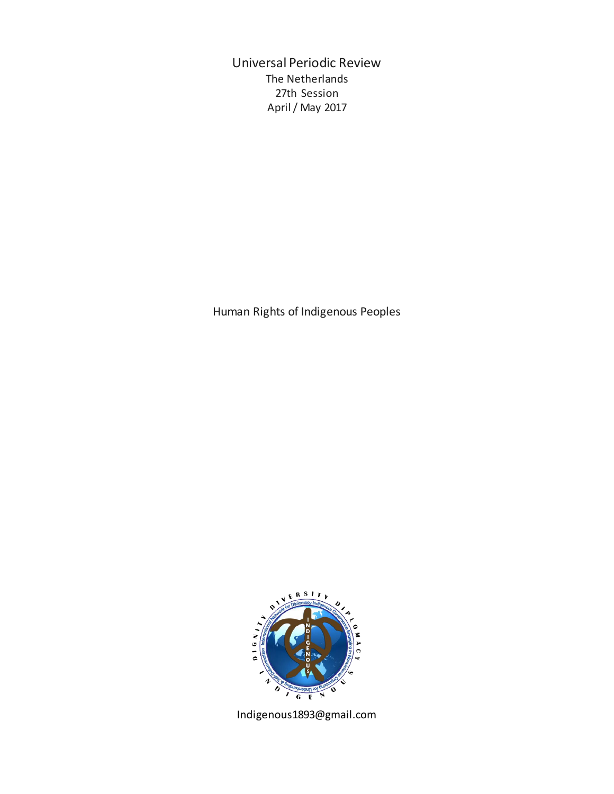Universal Periodic Review The Netherlands 27th Session April / May 2017

Human Rights of Indigenous Peoples



Indigenous1893@gmail.com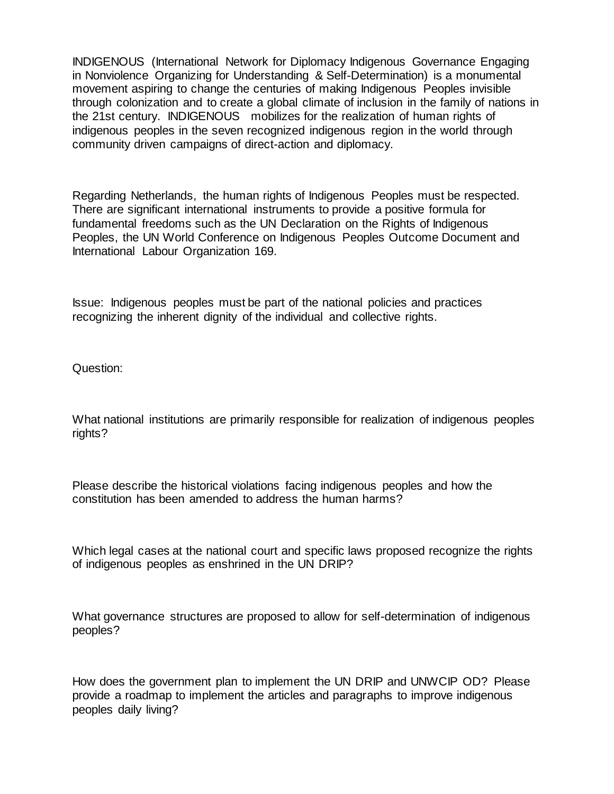INDIGENOUS (International Network for Diplomacy Indigenous Governance Engaging in Nonviolence Organizing for Understanding & Self-Determination) is a monumental movement aspiring to change the centuries of making Indigenous Peoples invisible through colonization and to create a global climate of inclusion in the family of nations in the 21st century. INDIGENOUS mobilizes for the realization of human rights of indigenous peoples in the seven recognized indigenous region in the world through community driven campaigns of direct-action and diplomacy.

Regarding Netherlands, the human rights of Indigenous Peoples must be respected. There are significant international instruments to provide a positive formula for fundamental freedoms such as the UN Declaration on the Rights of Indigenous Peoples, the UN World Conference on Indigenous Peoples Outcome Document and International Labour Organization 169.

Issue: Indigenous peoples must be part of the national policies and practices recognizing the inherent dignity of the individual and collective rights.

Question:

What national institutions are primarily responsible for realization of indigenous peoples rights?

Please describe the historical violations facing indigenous peoples and how the constitution has been amended to address the human harms?

Which legal cases at the national court and specific laws proposed recognize the rights of indigenous peoples as enshrined in the UN DRIP?

What governance structures are proposed to allow for self-determination of indigenous peoples?

How does the government plan to implement the UN DRIP and UNWCIP OD? Please provide a roadmap to implement the articles and paragraphs to improve indigenous peoples daily living?